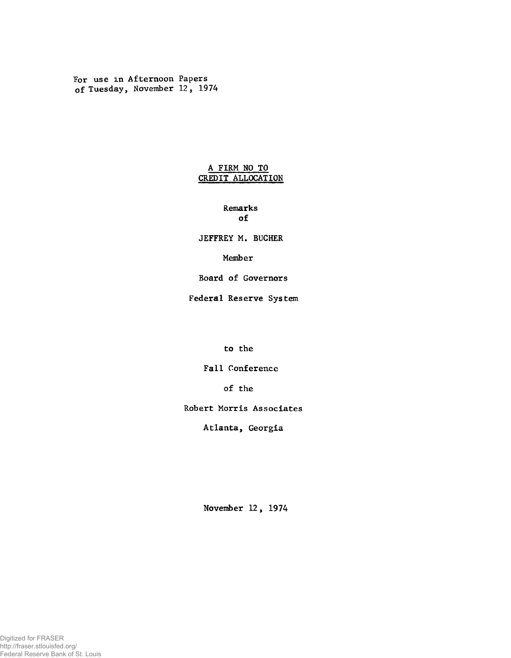For use in Afternoon Papers of Tuesday, November 12, 1974

## **A FIRM NO TO CREDIT ALLOCATION**

**Remarks of**

**JEFFREY M. BUCHER**

**Member**

**Board of Governors**

**Federal Reserve System**

**to the**

**Fall Conference**

**of the**

**Robert Morris Associates**

**Atlanta, Georgia**

**November 12, 1974**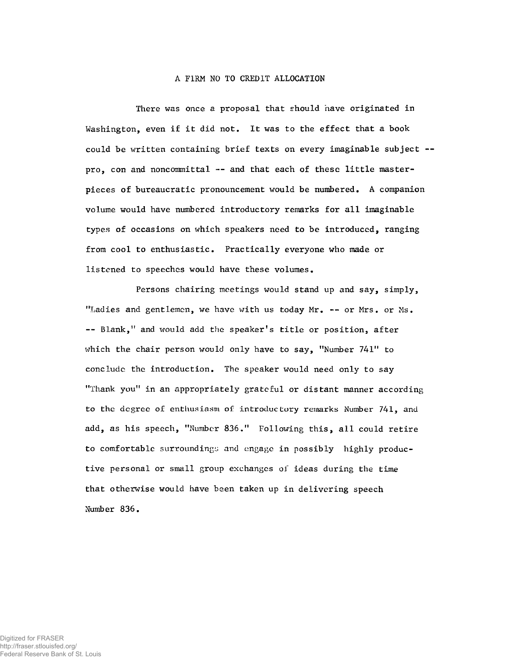## A FIRM NO TO CREDIT ALLOCATION

There was once a proposal that should have originated in Washington, even if it did not. It was to the effect that a book could be written containing brief texts on every imaginable subject pro, con and noncommittal -- and that each of these little masterpieces of bureaucratic pronouncement would be numbered. A companion volume would have numbered introductory remarks for all imaginable types of occasions on which speakers need to be introduced, ranging from cool to enthusiastic. Practically everyone who made or listened to speeches would have these volumes.

Persons chairing meetings would stand up and say, simply, "Ladies and gentlemen, we have with us today Mr. -- or Mrs. or Ms. -- Blank," and would add the speaker's title or position, after which the chair person would only have to say, "Number 741" to concludc the introduction. The speaker would need only to say "Thank you" in an appropriately grateful or distant manner according to the degree of enthusiasm of introductory remarks Number 741, and add, as his speech, "Number 836." Following this, all could retire to comfortable surroundings and engage in possibly highly productive personal or small group exchanges of ideas during the time that otherwise would have been taken up in delivering speech Number 836.

Digitized for FRASER http://fraser.stlouisfed.org/ Federal Reserve Bank of St. Louis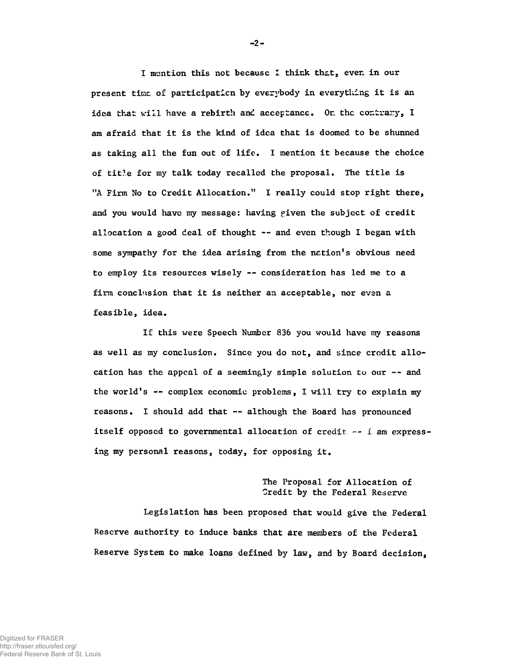I mention this not becausc I think that, even in our **present time of participation by everybody in everything it is an idea that will have a rebirth and acceptance. Or. the contrary, I am afraid that it is the kind of idea that is doomed to be shunned as taking all the fun out of life. I mention it because the choice of tit?.e for my talk today recalled the proposal. The title is "A Firm No to Credit Allocation." I really could stop right there, and you would have my message: having piven the subject of credit allocation a good deal of thought — and even though I began with some sympathy for the idea arising from the nation's obvious need to employ its resources wisely -- consideration has led me to a firm conclusion that it is neither an acceptable, nor even a feasible, idea.**

**If this were Speech Number 836 you would have my reasons as well as my conclusion. Since you do not, and since crodit allo**cation has the appeal of a seemingly simple solution to our -- and **the world's -- complex economic problems, I will try to explain my reasons. I should add that — although the Board has pronounced** itself opposed to governmental allocation of credit  $-1$  am express**ing my personal reasons, today, for opposing it.**

> **The Proposal for Allocation of Credit by the Federal Reserve**

**Legislation has been proposed that would give the Federal Reserve authority to induce banks that are members of the Federal Reserve System to make loans defined by law, and by Board decision,**

**-** 2**-**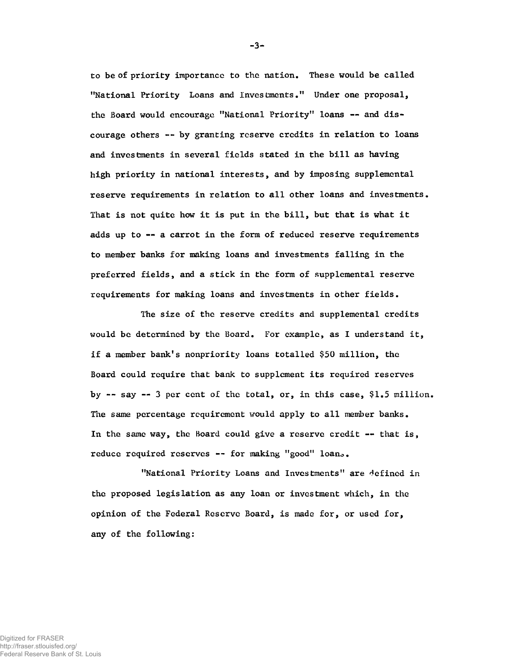**to be of priority importance to the nation. These would be called "National Priority Loans and Investments." Under one proposal, the Board would encourage "National Priority" loans — and discourage others -- by granting reserve credits in relation to loans and investments in several fields stated in the bill as having high priority in national interests, and by imposing supplemental reserve requirements in relation to all other loans and investments. That is not quite how it is put in the bill, but that is what it adds up to — a carrot in the form of reduced reserve requirements to member banks for making loans and investments falling in the preferred fields, and a stick in the form of supplemental reserve requirements for making loans and investments in other fields.**

**The size o£ the reserve credits and supplemental credits would be determined by the Board. For example, as I understand it, if a member bank's nonpriority loans totalled \$50 million, the Board could require that bank to supplement its required reserves by — say — 3 per cent of the total, or, in this case, \$1.5 million. The same percentage requirement would apply to all member banks. In the same way, the Board could give a reserve credit — that is, reduce required reserves -- for making "good" loano.**

**"National Priority Loans and Investments" are defined in the proposed legislation as any loan or investment which, in the opinion of the Federal Reserve Board, is made for, or used for, any of the following:**

**-** 3**-**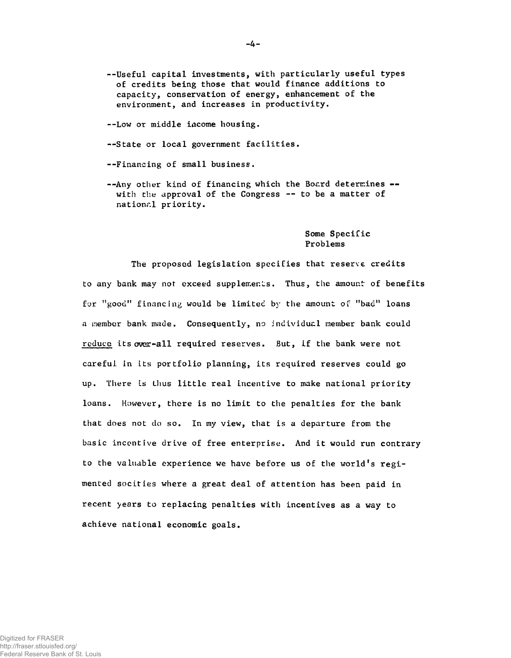--Useful capital investments, with particularly useful types of credits being those that would finance additions to capacity, conservation of energy, enhancement of the environment, and increases in productivity.

— Low or middle income housing.

--State or local government facilities.

--Financing of small business.

--Any other kind of financing which the Board determines -with the approval of the Congress -- to be a matter of national priority.

> Some Specific Problems

The proposed legislation specifies that reserve credits to any bank may not exceed supplements. Thus, the amount of benefits for "good" financing would be limited by the amount of "bad" loans a member bank made. Consequently, no individual member bank could reduce its over-all required reserves. But, if the bank were not careful in Its portfolio planning, its required reserves could go up. There is thus little real incentive to make national priority loans. However, there is no limit to the penalties for the bank that does not do so. In my view, that is a departure from the basic incentive drive of free enterprise. And it would run contrary to the valuable experience we have before us of the world's regimented socities where a great deal of attention has been paid in recent years to replacing penalties with incentives as a way to achieve national economic goals.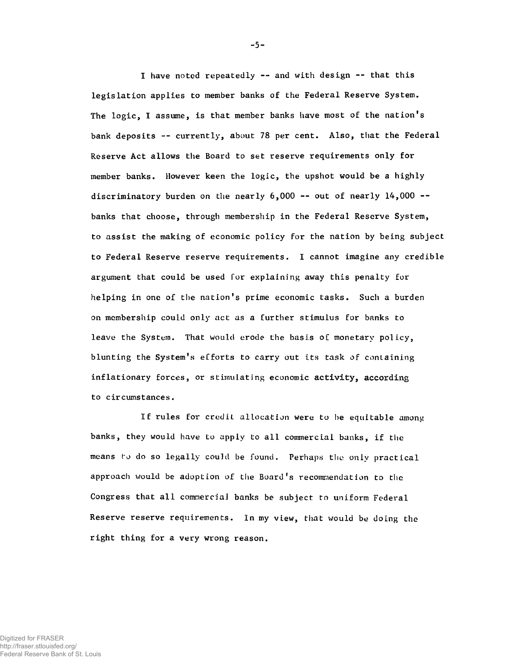I have noted repeatedly -- and with design -- that this legislation applies to member banks of the Federal Reserve System. The logic, I assume, is that member banks have most of the nation's bank deposits -- currently, about 78 per cent. Also, that the Federal Reserve Act allows the Board to set reserve requirements only for member banks. However keen the logic, the upshot would be a highly discriminatory burden on the nearly  $6,000$  -- out of nearly  $14,000$  -banks that choose, through membership in the Federal Reserve System, to assist the making of economic policy for the nation by being subject to Federal Reserve reserve requirements. I cannot imagine any credible argument that could be used for explaining away this penalty for helping in one of the nation's prime economic tasks. Such a burden on membership could only act as a further stimulus for banks to leave the System. That would erode the basis of monetary policy, blunting the System's efforts to carry out its task of containing inflationary forces, or stimulating economic activity, according to circumstances.

If rules for credit allocation were to he equitable among banks, they would have to apply to all commercial banks, if the means to do so legally could be found. Perhaps the only practical approach would be adoption of the Board's recommendation to the Congress that all commercial banks be subject to uniform Federal Reserve reserve requirements. In my view, that would be doing the right thing for a very wrong reason.

-5-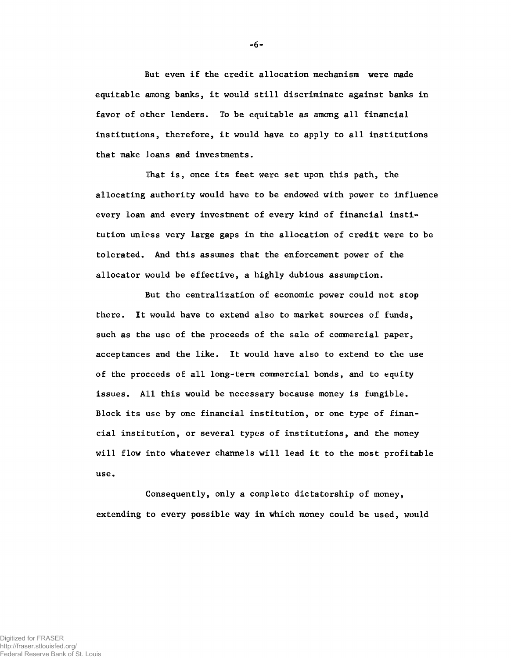But even if the credit allocation mechanism were made equitable among banks, it would still discriminate against banks in favor of other lenders. To be equitable as among all financial institutions, therefore, it would have to apply to all institutions that make loans and investments.

That is, once its feet were set upon this path, the allocating authority would have to be endowed with power to influence every loan and every investment of every kind of financial institution unless very large gaps in the allocation of credit were to be tolerated. And this assumes that the enforcement power of the allocator would be effective, a highly dubious assumption.

But the centralization of economic power could not stop there. It would have to extend also to market sources of funds, such as the use of the proceeds of the sale of commercial paper, acceptances and the like. It would have also to extend to the use of the proceeds of all long-term commercial bonds, and to equity issues. All this would be necessary because money is fungible. Block its use by one financial institution, or one type of financial institution, or several types of institutions, and the money will flow into whatever channels will lead it to the most profitable use.

Consequently, only a complete dictatorship of money, extending to every possible way in which money could be used, would

-6-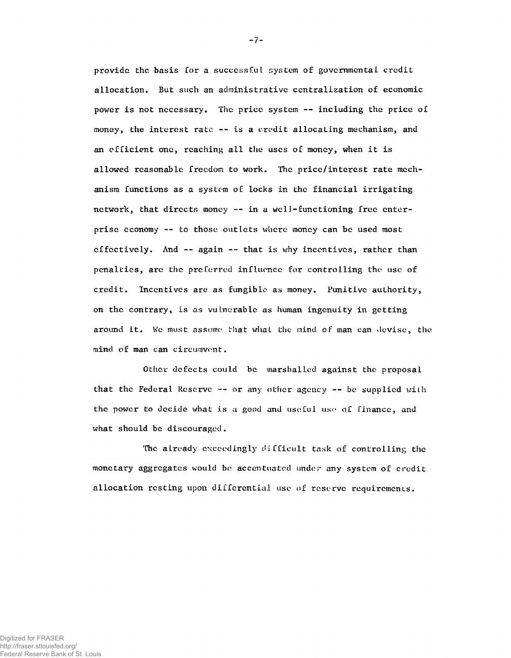provide the basis for a successful system of governmental credit allocation. But such an administrative centralization of economic power is not necessary. The price system -- including the price of money, the interest rate  $-$  is a credit allocating mechanism, and an efficient one, reaching all the uses of money, when it is allowed reasonable freedom to work. The price/interest rate mechanism functions as a system of locks in the financial irrigating network, that directs money -- in a well-functioning free enterprise economy — to those outlets where money can be used most effectively. And -- again -- that is why incentives, rather than penalties, are the preferred influence for controlling the use of credit. Incentives are as fungible as money. Punitive authority, on the contrary, is as vulnerable as human ingenuity in getting around it. We must assume that what the mind of man can devise, the mind of man can circumvent.

Other defects could be marshalled against the proposal that the Federal Reserve -- or any other agency -- be supplied with the power to decide what is a good and useful use of finance, and what should be discouraged.

The already exceedingly difficult task of controlling the monetary aggregates would be accentuated under any system of credit allocation resting upon differential use of reserve requirements.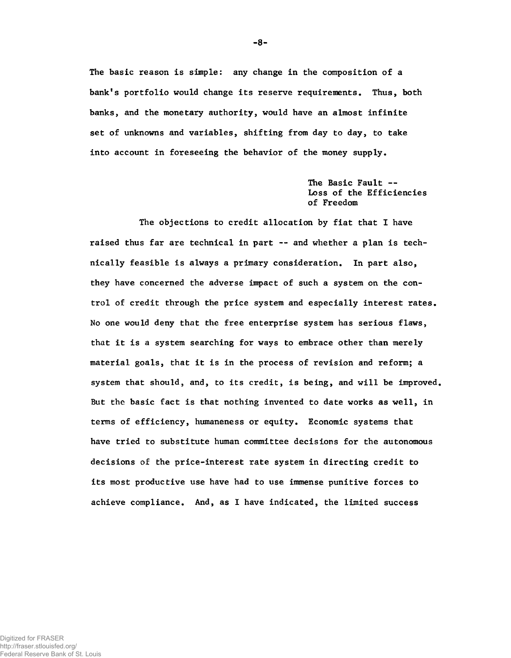**The basic reason is simple: any change in the composition of a bank's portfolio would change its reserve requirements. Thus, both banks, and the monetary authority, would have an almost infinite set of unknowns and variables, shifting from day to day, to take into account in foreseeing the behavior of the money supply.**

> **The Basic Fault — Loss of the Efficiencies of Freedom**

**The objections to credit allocation by fiat that I have raised thus far are technical in part — and whether a plan is technically feasible is always a primary consideration. In part also, they have concerned the adverse impact of such a system on the control of credit through the price system and especially interest rates. No one would deny that the free enterprise system has serious flaws, that it is a system searching for ways to embrace other than merely material goals, that it is in the process of revision and reform; a system that should, and, to its credit, is being, and will be improved. But the basic fact is that nothing invented to date works as well, in terms of efficiency, humaneness or equity. Economic systems that have tried to substitute human committee decisions for the autonomous decisions of the price-interest rate system in directing credit to its most productive use have had to use immense punitive forces to achieve compliance. And, as I have indicated, the limited success**

**-** 8**-**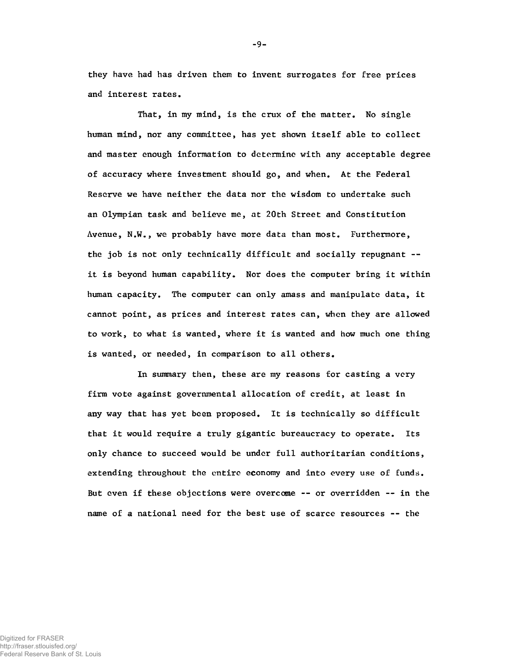**That, in my mind, is the crux of the matter. No single human mind, nor any committee, has yet shown itself able to collect and master enough information to determine with any acceptable degree of accuracy where investment should go, and when. At the Federal Reserve we have neither the data nor the wisdom to undertake such an Olympian task and believe me, at 20th Street and Constitution Avenue, N.W., we probably have more data than most. Furthermore, the job is not only technically difficult and socially repugnant - it is beyond human capability. Nor does the computer bring it within human capacity. The computer can only amass and manipulate data, it cannot point, as prices and interest rates can, when they are allowed to work, to what is wanted, where it is wanted and how much one thing is wanted, or needed, in comparison to all others.**

**In summary then, these are my reasons for casting a very firm vote against governmental allocation of credit, at least in any way that has yet been proposed. It is technically so difficult that it would require a truly gigantic bureaucracy to operate. Its only chance to succeed would be under full authoritarian conditions, extending throughout the entire economy and into every use of funds. But even if these objections were overcame -- or overridden — in the name of a national need for the best use of scarce resources -- the**

**they have had has driven them to invent surrogates for free prices and interest rates.**

**-** 9**-**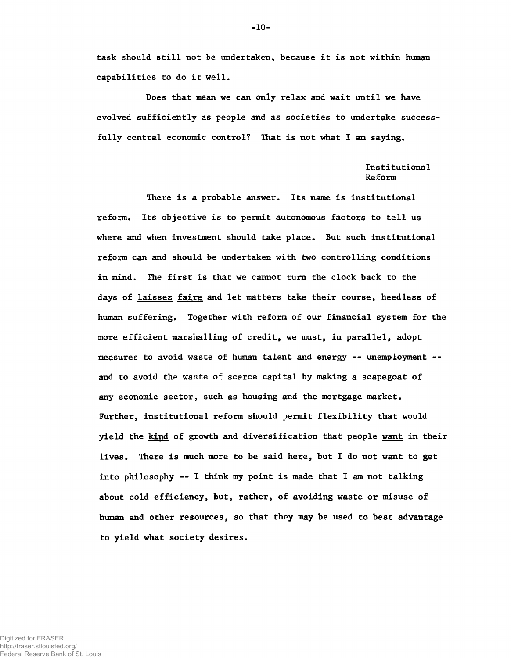**task should still not be undertaken, because it is not within human capabilities to do it well.**

**Does that mean we can only relax and wait until we have evolved sufficiently as people and as societies to undertake successfully central economic control? That is not what I am saying.**

## **Institutional Reform**

**There is a probable answer. Its name is institutional reform. Its objective is to permit autonomous factors to tell us where and when investment should take place. But such institutional reform can and should be undertaken with two controlling conditions in mind. The first is that we cannot turn the clock back to the days of laissez faire and let matters take their course, heedless of human suffering. Together with reform of our financial system for the more efficient marshalling of credit, we must, in parallel, adopt measures to avoid waste of human talent and energy — unemployment and to avoid the waste of scarce capital by making a scapegoat of any economic sector, such as housing and the mortgage market. Further, institutional reform should permit flexibility that would yield the kind of growth and diversification that people want in their lives. There is much more to be said here, but I do not want to get into philosophy — I think my point is made that I am not talking about cold efficiency, but, rather, of avoiding waste or misuse of human and other resources, so that they may be used to best advantage to yield what society desires.**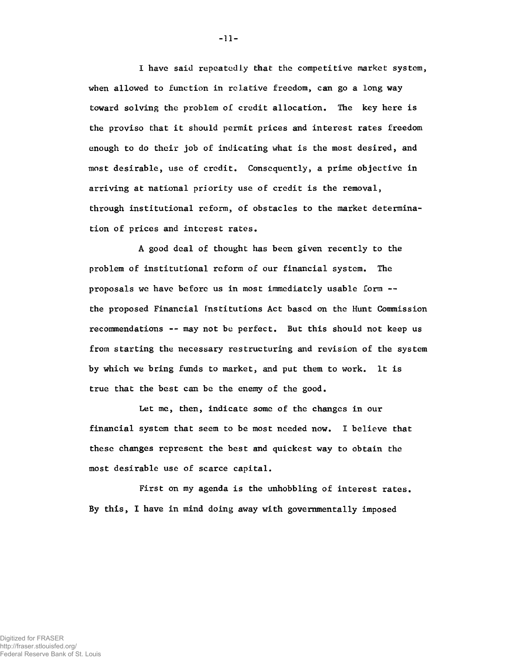**I have said repeatedly that the competitive market system, when allowed to function in relative freedom, can go a long way toward solving the problem of credit allocation. The key here is the proviso that it should permit prices and interest rates freedom enough to do their job of indicating what is the most desired, and most desirable, use of credit. Consequently, a prime objective in arriving at national priority use of credit is the removal, through institutional reform, of obstacles to the market determination of prices and interest rates.**

**A good deal of thought has been given recently to the problem of institutional reform of our financial system. The proposals we have before us in most immediately usable form - the proposed Financial institutions Act based on the Hunt Commission recommendations — may not be perfect. But this should not keep us from starting the necessary restructuring and revision of the system by which we bring funds to market, and put them to work. It is true that the best can be the enemy of the good.**

Let me, then, indicate some of the changes in our financial system that seem to be most needed now. I believe that these changes represent the best and quickest way to obtain the most desirable use of scarce capital.

**First on my agenda is the unhobbling of interest rates. By this, I have in mind doing away with governmentally imposed**

**-** 11**-**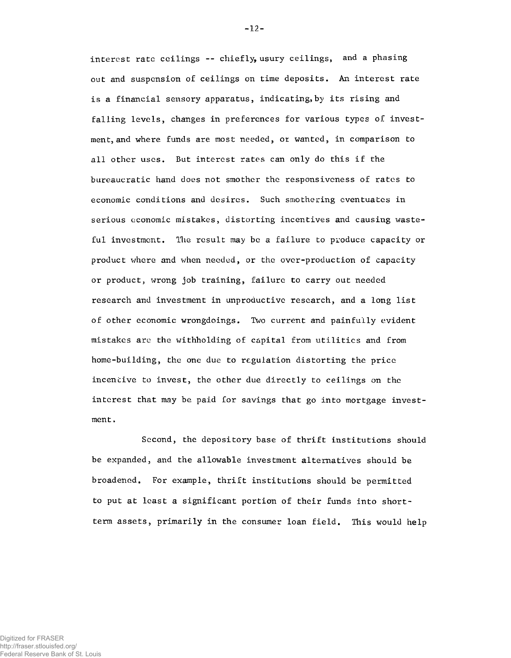interest rate ceilings -- chiefly, usury ceilings, and a phasing out and suspension of ceilings on time deposits. An interest rate is a financial sensory apparatus, indicating, by its rising and falling levels, changes in preferences for various types of investment, and where funds are most needed, or wanted, in comparison to all other uses. But interest rates can only do this if the bureaucratic hand does not smother the responsiveness of rates to economic conditions and desires. Such smothering eventuates in serious economic mistakes, distorting incentives and causing wasteful investment. The result may be a failure to produce capacity or product where and when needed, or the over-production of capacity or product, wrong job training, failure to carry out needed research and investment in unproductive research, and a long list of other economic wrongdoings. Two current and painfully evident mistakes are the withholding of capital from utilities and from home-building, the one due to regulation distorting the price incentive to invest, the other due directly to ceilings on the interest that may be paid for savings that go into mortgage investment .

Second, the depository base of thrift institutions should be expanded, and the allowable investment alternatives should be broadened. For example, thrift institutions should be permitted to put at least a significant portion of their funds into shortterm assets, primarily in the consumer loan field. This would help

-12-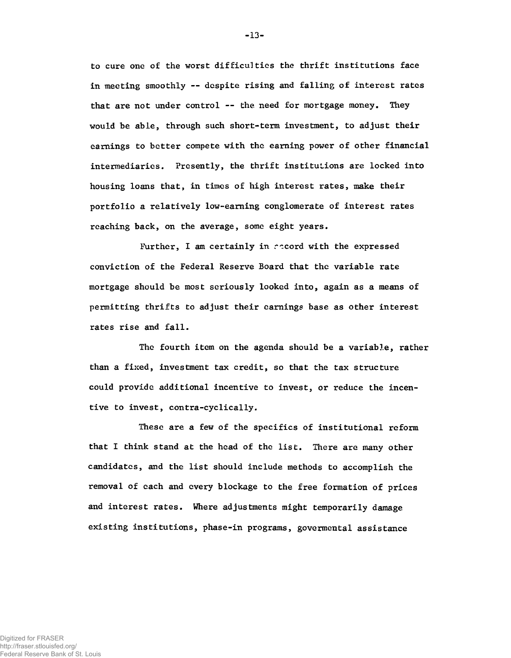**to cure one of the worst difficulties the thrift institutions face in meeting smoothly — despite rising and falling of interest rates that are not under control — the need for mortgage money. They would be able, through such short-term investment, to adjust their earnings to better compete with the earning power of other financial intermediaries. Presently, the thrift institutions are locked into housing loans that, in times of high interest rates, make their portfolio a relatively low-earning conglomerate of interest rates reaching back, on the average, some eight years.**

**Further, I am certainly in record with the expressed conviction of the Federal Reserve Board that the variable rate mortgage should be most seriously looked into, again as a means of permitting thrifts to adjust their earnings base as other interest rates rise and fall.**

**The fourth item on the agenda should be a variable, rather than a fixed, investment tax credit, so that the tax structure could provide additional incentive to invest, or reduce the incentive to invest, contra-cyclically.**

**These are a few of the specifics of institutional reform that I think stand at the head of the list. There are many other candidates, and the list should include methods to accomplish the removal of each and every blockage to the free formation of prices and interest rates. Where adjustments might temporarily damage existing institutions, phase-in programs, govermental assistance**

-13-